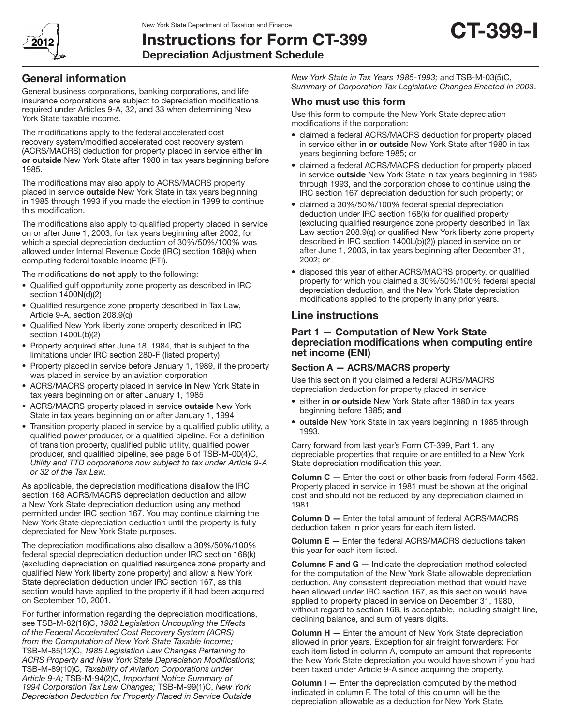

# Instructions for Form CT-399 Depreciation Adjustment Schedule



## General information

General business corporations, banking corporations, and life insurance corporations are subject to depreciation modifications required under Articles 9-A, 32, and 33 when determining New York State taxable income.

The modifications apply to the federal accelerated cost recovery system/modified accelerated cost recovery system (ACRS/MACRS) deduction for property placed in service either in or outside New York State after 1980 in tax years beginning before 1985.

The modifications may also apply to ACRS/MACRS property placed in service outside New York State in tax years beginning in 1985 through 1993 if you made the election in 1999 to continue this modification.

The modifications also apply to qualified property placed in service on or after June 1, 2003, for tax years beginning after 2002, for which a special depreciation deduction of 30%/50%/100% was allowed under Internal Revenue Code (IRC) section 168(k) when computing federal taxable income (FTI).

The modifications do not apply to the following:

- Qualified gulf opportunity zone property as described in IRC section 1400N(d)(2)
- • Qualified resurgence zone property described in Tax Law, Article 9-A, section 208.9(q)
- Qualified New York liberty zone property described in IRC section 1400L(b)(2)
- Property acquired after June 18, 1984, that is subject to the limitations under IRC section 280-F (listed property)
- Property placed in service before January 1, 1989, if the property was placed in service by an aviation corporation
- ACRS/MACRS property placed in service in New York State in tax years beginning on or after January 1, 1985
- ACRS/MACRS property placed in service outside New York State in tax years beginning on or after January 1, 1994
- Transition property placed in service by a qualified public utility, a qualified power producer, or a qualified pipeline. For a definition of transition property, qualified public utility, qualified power producer, and qualified pipeline, see page 6 of TSB-M-00(4)C, *Utility and TTD corporations now subject to tax under Article 9-A or 32 of the Tax Law.*

As applicable, the depreciation modifications disallow the IRC section 168 ACRS/MACRS depreciation deduction and allow a New York State depreciation deduction using any method permitted under IRC section 167. You may continue claiming the New York State depreciation deduction until the property is fully depreciated for New York State purposes.

The depreciation modifications also disallow a 30%/50%/100% federal special depreciation deduction under IRC section 168(k) (excluding depreciation on qualified resurgence zone property and qualified New York liberty zone property) and allow a New York State depreciation deduction under IRC section 167, as this section would have applied to the property if it had been acquired on September 10, 2001.

For further information regarding the depreciation modifications, see TSB-M-82(16)C, *1982 Legislation Uncoupling the Effects of the Federal Accelerated Cost Recovery System (ACRS) from the Computation of New York State Taxable Income;*  TSB-M-85(12)C, *1985 Legislation Law Changes Pertaining to ACRS Property and New York State Depreciation Modifications;* TSB-M-89(10)C, *Taxability of Aviation Corporations under Article 9-A;* TSB-M-94(2)C, *Important Notice Summary of 1994 Corporation Tax Law Changes;* TSB-M-99(1)C, *New York Depreciation Deduction for Property Placed in Service Outside* 

*New York State in Tax Years 1985-1993;* and TSB-M-03(5)C, *Summary of Corporation Tax Legislative Changes Enacted in 2003*.

#### Who must use this form

Use this form to compute the New York State depreciation modifications if the corporation:

- claimed a federal ACRS/MACRS deduction for property placed in service either in or outside New York State after 1980 in tax years beginning before 1985; or
- claimed a federal ACRS/MACRS deduction for property placed in service outside New York State in tax years beginning in 1985 through 1993, and the corporation chose to continue using the IRC section 167 depreciation deduction for such property; or
- claimed a 30%/50%/100% federal special depreciation deduction under IRC section 168(k) for qualified property (excluding qualified resurgence zone property described in Tax Law section 208.9(q) or qualified New York liberty zone property described in IRC section 1400L(b)(2)) placed in service on or after June 1, 2003, in tax years beginning after December 31, 2002; or
- disposed this year of either ACRS/MACRS property, or qualified property for which you claimed a 30%/50%/100% federal special depreciation deduction, and the New York State depreciation modifications applied to the property in any prior years.

### Line instructions

#### Part 1 — Computation of New York State depreciation modifications when computing entire net income (ENI)

#### Section A — ACRS/MACRS property

Use this section if you claimed a federal ACRS/MACRS depreciation deduction for property placed in service:

- either in or outside New York State after 1980 in tax years beginning before 1985; and
- outside New York State in tax years beginning in 1985 through 1993.

Carry forward from last year's Form CT-399, Part 1, any depreciable properties that require or are entitled to a New York State depreciation modification this year.

Column C - Enter the cost or other basis from federal Form 4562. Property placed in service in 1981 must be shown at the original cost and should not be reduced by any depreciation claimed in 1981.

Column D — Enter the total amount of federal ACRS/MACRS deduction taken in prior years for each item listed.

Column E — Enter the federal ACRS/MACRS deductions taken this year for each item listed.

Columns F and G — Indicate the depreciation method selected for the computation of the New York State allowable depreciation deduction. Any consistent depreciation method that would have been allowed under IRC section 167, as this section would have applied to property placed in service on December 31, 1980, without regard to section 168, is acceptable, including straight line, declining balance, and sum of years digits.

Column H — Enter the amount of New York State depreciation allowed in prior years. Exception for air freight forwarders: For each item listed in column A, compute an amount that represents the New York State depreciation you would have shown if you had been taxed under Article 9-A since acquiring the property.

**Column I** – Enter the depreciation computed by the method indicated in column F. The total of this column will be the depreciation allowable as a deduction for New York State.